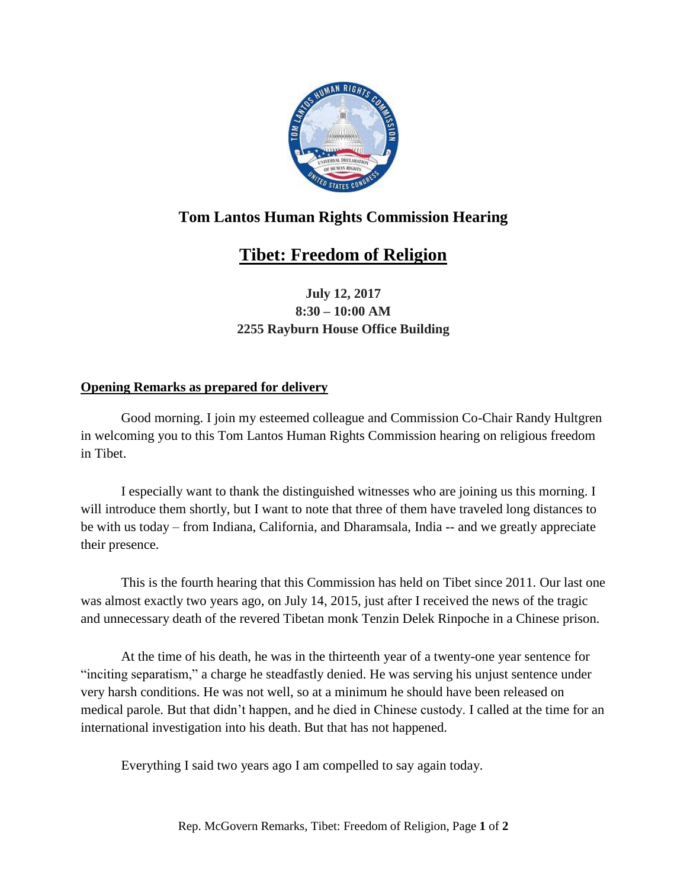

## **Tom Lantos Human Rights Commission Hearing**

## **Tibet: Freedom of Religion**

**July 12, 2017 8:30 – 10:00 AM 2255 Rayburn House Office Building**

## **Opening Remarks as prepared for delivery**

Good morning. I join my esteemed colleague and Commission Co-Chair Randy Hultgren in welcoming you to this Tom Lantos Human Rights Commission hearing on religious freedom in Tibet.

I especially want to thank the distinguished witnesses who are joining us this morning. I will introduce them shortly, but I want to note that three of them have traveled long distances to be with us today – from Indiana, California, and Dharamsala, India -- and we greatly appreciate their presence.

This is the fourth hearing that this Commission has held on Tibet since 2011. Our last one was almost exactly two years ago, on July 14, 2015, just after I received the news of the tragic and unnecessary death of the revered Tibetan monk Tenzin Delek Rinpoche in a Chinese prison.

At the time of his death, he was in the thirteenth year of a twenty-one year sentence for "inciting separatism," a charge he steadfastly denied. He was serving his unjust sentence under very harsh conditions. He was not well, so at a minimum he should have been released on medical parole. But that didn't happen, and he died in Chinese custody. I called at the time for an international investigation into his death. But that has not happened.

Everything I said two years ago I am compelled to say again today.